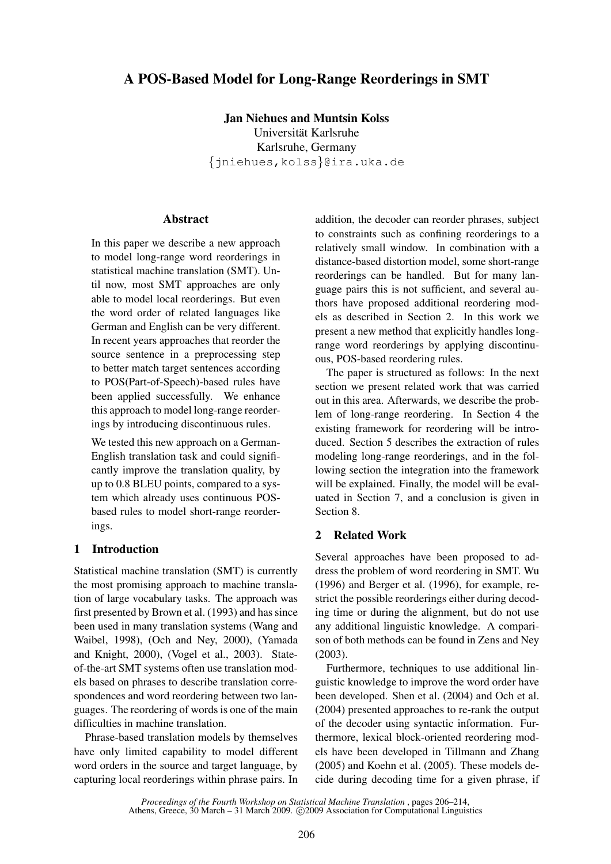# A POS-Based Model for Long-Range Reorderings in SMT

Jan Niehues and Muntsin Kolss Universität Karlsruhe Karlsruhe, Germany {jniehues,kolss}@ira.uka.de

### Abstract

In this paper we describe a new approach to model long-range word reorderings in statistical machine translation (SMT). Until now, most SMT approaches are only able to model local reorderings. But even the word order of related languages like German and English can be very different. In recent years approaches that reorder the source sentence in a preprocessing step to better match target sentences according to POS(Part-of-Speech)-based rules have been applied successfully. We enhance this approach to model long-range reorderings by introducing discontinuous rules.

We tested this new approach on a German-English translation task and could significantly improve the translation quality, by up to 0.8 BLEU points, compared to a system which already uses continuous POSbased rules to model short-range reorderings.

#### 1 Introduction

Statistical machine translation (SMT) is currently the most promising approach to machine translation of large vocabulary tasks. The approach was first presented by Brown et al. (1993) and has since been used in many translation systems (Wang and Waibel, 1998), (Och and Ney, 2000), (Yamada and Knight, 2000), (Vogel et al., 2003). Stateof-the-art SMT systems often use translation models based on phrases to describe translation correspondences and word reordering between two languages. The reordering of words is one of the main difficulties in machine translation.

Phrase-based translation models by themselves have only limited capability to model different word orders in the source and target language, by capturing local reorderings within phrase pairs. In

addition, the decoder can reorder phrases, subject to constraints such as confining reorderings to a relatively small window. In combination with a distance-based distortion model, some short-range reorderings can be handled. But for many language pairs this is not sufficient, and several authors have proposed additional reordering models as described in Section 2. In this work we present a new method that explicitly handles longrange word reorderings by applying discontinuous, POS-based reordering rules.

The paper is structured as follows: In the next section we present related work that was carried out in this area. Afterwards, we describe the problem of long-range reordering. In Section 4 the existing framework for reordering will be introduced. Section 5 describes the extraction of rules modeling long-range reorderings, and in the following section the integration into the framework will be explained. Finally, the model will be evaluated in Section 7, and a conclusion is given in Section 8.

### 2 Related Work

Several approaches have been proposed to address the problem of word reordering in SMT. Wu (1996) and Berger et al. (1996), for example, restrict the possible reorderings either during decoding time or during the alignment, but do not use any additional linguistic knowledge. A comparison of both methods can be found in Zens and Ney (2003).

Furthermore, techniques to use additional linguistic knowledge to improve the word order have been developed. Shen et al. (2004) and Och et al. (2004) presented approaches to re-rank the output of the decoder using syntactic information. Furthermore, lexical block-oriented reordering models have been developed in Tillmann and Zhang (2005) and Koehn et al. (2005). These models decide during decoding time for a given phrase, if

*Proceedings of the Fourth Workshop on Statistical Machine Translation* , pages 206–214, Athens, Greece, 30 March – 31 March 2009. © 2009 Association for Computational Linguistics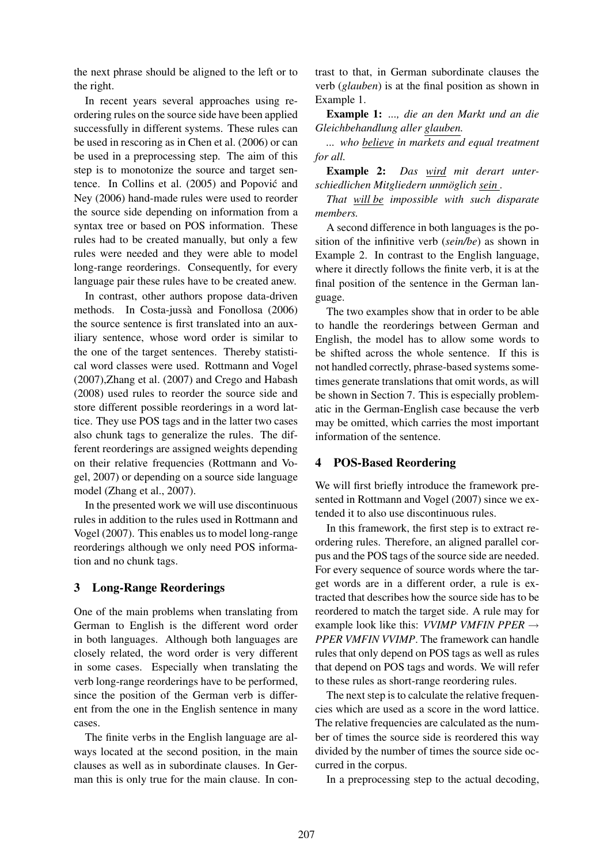the next phrase should be aligned to the left or to the right.

In recent years several approaches using reordering rules on the source side have been applied successfully in different systems. These rules can be used in rescoring as in Chen et al. (2006) or can be used in a preprocessing step. The aim of this step is to monotonize the source and target sentence. In Collins et al. (2005) and Popovic and ´ Ney (2006) hand-made rules were used to reorder the source side depending on information from a syntax tree or based on POS information. These rules had to be created manually, but only a few rules were needed and they were able to model long-range reorderings. Consequently, for every language pair these rules have to be created anew.

In contrast, other authors propose data-driven methods. In Costa-jussà and Fonollosa (2006) the source sentence is first translated into an auxiliary sentence, whose word order is similar to the one of the target sentences. Thereby statistical word classes were used. Rottmann and Vogel (2007),Zhang et al. (2007) and Crego and Habash (2008) used rules to reorder the source side and store different possible reorderings in a word lattice. They use POS tags and in the latter two cases also chunk tags to generalize the rules. The different reorderings are assigned weights depending on their relative frequencies (Rottmann and Vogel, 2007) or depending on a source side language model (Zhang et al., 2007).

In the presented work we will use discontinuous rules in addition to the rules used in Rottmann and Vogel (2007). This enables us to model long-range reorderings although we only need POS information and no chunk tags.

## 3 Long-Range Reorderings

One of the main problems when translating from German to English is the different word order in both languages. Although both languages are closely related, the word order is very different in some cases. Especially when translating the verb long-range reorderings have to be performed, since the position of the German verb is different from the one in the English sentence in many cases.

The finite verbs in the English language are always located at the second position, in the main clauses as well as in subordinate clauses. In German this is only true for the main clause. In contrast to that, in German subordinate clauses the verb (*glauben*) is at the final position as shown in Example 1.

Example 1: *..., die an den Markt und an die Gleichbehandlung aller glauben.*

*... who believe in markets and equal treatment for all.*

Example 2: *Das wird mit derart unterschiedlichen Mitgliedern unmoglich sein ¨ .*

*That will be impossible with such disparate members.*

A second difference in both languages is the position of the infinitive verb (*sein/be*) as shown in Example 2. In contrast to the English language, where it directly follows the finite verb, it is at the final position of the sentence in the German language.

The two examples show that in order to be able to handle the reorderings between German and English, the model has to allow some words to be shifted across the whole sentence. If this is not handled correctly, phrase-based systems sometimes generate translations that omit words, as will be shown in Section 7. This is especially problematic in the German-English case because the verb may be omitted, which carries the most important information of the sentence.

## 4 POS-Based Reordering

We will first briefly introduce the framework presented in Rottmann and Vogel (2007) since we extended it to also use discontinuous rules.

In this framework, the first step is to extract reordering rules. Therefore, an aligned parallel corpus and the POS tags of the source side are needed. For every sequence of source words where the target words are in a different order, a rule is extracted that describes how the source side has to be reordered to match the target side. A rule may for example look like this: *VVIMP VMFIN PPER* → *PPER VMFIN VVIMP*. The framework can handle rules that only depend on POS tags as well as rules that depend on POS tags and words. We will refer to these rules as short-range reordering rules.

The next step is to calculate the relative frequencies which are used as a score in the word lattice. The relative frequencies are calculated as the number of times the source side is reordered this way divided by the number of times the source side occurred in the corpus.

In a preprocessing step to the actual decoding,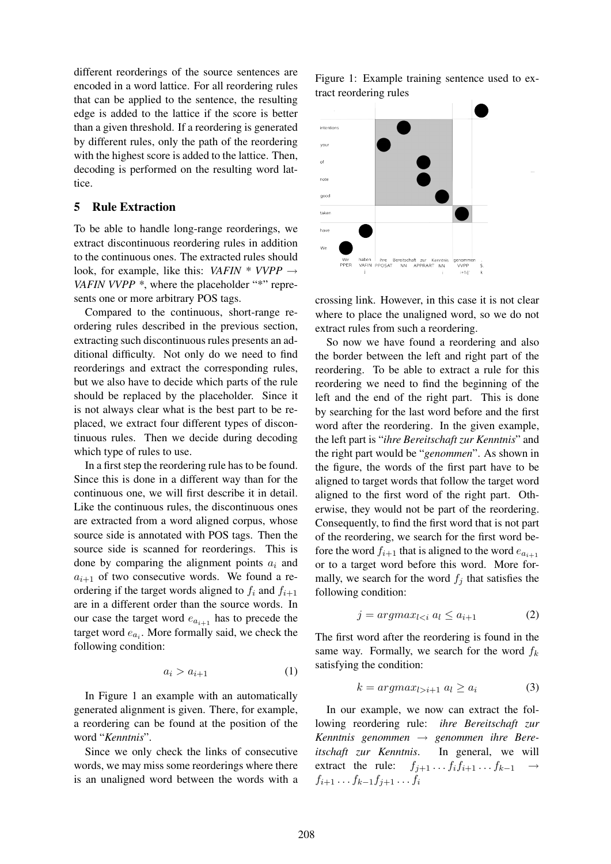different reorderings of the source sentences are encoded in a word lattice. For all reordering rules that can be applied to the sentence, the resulting edge is added to the lattice if the score is better than a given threshold. If a reordering is generated by different rules, only the path of the reordering with the highest score is added to the lattice. Then, decoding is performed on the resulting word lattice.

### 5 Rule Extraction

To be able to handle long-range reorderings, we extract discontinuous reordering rules in addition to the continuous ones. The extracted rules should look, for example, like this: *VAFIN \* VVPP* → *VAFIN VVPP*  $*$ , where the placeholder "\*" represents one or more arbitrary POS tags.

Compared to the continuous, short-range reordering rules described in the previous section, extracting such discontinuous rules presents an additional difficulty. Not only do we need to find reorderings and extract the corresponding rules, but we also have to decide which parts of the rule should be replaced by the placeholder. Since it is not always clear what is the best part to be replaced, we extract four different types of discontinuous rules. Then we decide during decoding which type of rules to use.

In a first step the reordering rule has to be found. Since this is done in a different way than for the continuous one, we will first describe it in detail. Like the continuous rules, the discontinuous ones are extracted from a word aligned corpus, whose source side is annotated with POS tags. Then the source side is scanned for reorderings. This is done by comparing the alignment points  $a_i$  and  $a_{i+1}$  of two consecutive words. We found a reordering if the target words aligned to  $f_i$  and  $f_{i+1}$ are in a different order than the source words. In our case the target word  $e_{a_{i+1}}$  has to precede the target word  $e_{a_i}$ . More formally said, we check the following condition:

$$
a_i > a_{i+1} \tag{1}
$$

In Figure 1 an example with an automatically generated alignment is given. There, for example, a reordering can be found at the position of the word "*Kenntnis*".

Since we only check the links of consecutive words, we may miss some reorderings where there is an unaligned word between the words with a Figure 1: Example training sentence used to extract reordering rules



crossing link. However, in this case it is not clear where to place the unaligned word, so we do not extract rules from such a reordering.

So now we have found a reordering and also the border between the left and right part of the reordering. To be able to extract a rule for this reordering we need to find the beginning of the left and the end of the right part. This is done by searching for the last word before and the first word after the reordering. In the given example, the left part is "*ihre Bereitschaft zur Kenntnis*" and the right part would be "*genommen*". As shown in the figure, the words of the first part have to be aligned to target words that follow the target word aligned to the first word of the right part. Otherwise, they would not be part of the reordering. Consequently, to find the first word that is not part of the reordering, we search for the first word before the word  $f_{i+1}$  that is aligned to the word  $e_{a_{i+1}}$ or to a target word before this word. More formally, we search for the word  $f_i$  that satisfies the following condition:

$$
j = argmax_{l < i} a_l \le a_{i+1} \tag{2}
$$

The first word after the reordering is found in the same way. Formally, we search for the word  $f_k$ satisfying the condition:

$$
k = argmax_{l>i+1} a_l \ge a_i \tag{3}
$$

In our example, we now can extract the following reordering rule: *ihre Bereitschaft zur Kenntnis genommen* → *genommen ihre Bereitschaft zur Kenntnis*. In general, we will extract the rule:  $f_{j+1} \tcdot f_i f_{i+1} \tcdot f_{k-1} \rightarrow$  $f_{i+1} \ldots f_{k-1} f_{j+1} \ldots f_i$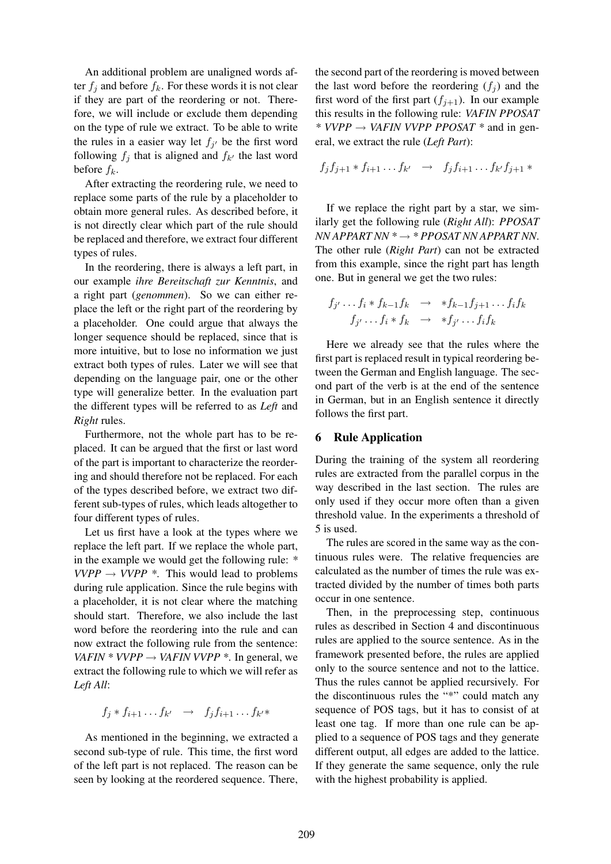An additional problem are unaligned words after  $f_i$  and before  $f_k$ . For these words it is not clear if they are part of the reordering or not. Therefore, we will include or exclude them depending on the type of rule we extract. To be able to write the rules in a easier way let  $f_{j'}$  be the first word following  $f_j$  that is aligned and  $f_{k'}$  the last word before  $f_k$ .

After extracting the reordering rule, we need to replace some parts of the rule by a placeholder to obtain more general rules. As described before, it is not directly clear which part of the rule should be replaced and therefore, we extract four different types of rules.

In the reordering, there is always a left part, in our example *ihre Bereitschaft zur Kenntnis*, and a right part (*genommen*). So we can either replace the left or the right part of the reordering by a placeholder. One could argue that always the longer sequence should be replaced, since that is more intuitive, but to lose no information we just extract both types of rules. Later we will see that depending on the language pair, one or the other type will generalize better. In the evaluation part the different types will be referred to as *Left* and *Right* rules.

Furthermore, not the whole part has to be replaced. It can be argued that the first or last word of the part is important to characterize the reordering and should therefore not be replaced. For each of the types described before, we extract two different sub-types of rules, which leads altogether to four different types of rules.

Let us first have a look at the types where we replace the left part. If we replace the whole part, in the example we would get the following rule: *\**  $VVPP \rightarrow VVPP$  \*. This would lead to problems during rule application. Since the rule begins with a placeholder, it is not clear where the matching should start. Therefore, we also include the last word before the reordering into the rule and can now extract the following rule from the sentence: *VAFIN*  $*$  *VVPP*  $\rightarrow$  *VAFIN VVPP*  $*$ . In general, we extract the following rule to which we will refer as *Left All*:

$$
f_j * f_{i+1} \dots f_{k'} \quad \to \quad f_j f_{i+1} \dots f_{k'} *
$$

As mentioned in the beginning, we extracted a second sub-type of rule. This time, the first word of the left part is not replaced. The reason can be seen by looking at the reordered sequence. There, the second part of the reordering is moved between the last word before the reordering  $(f_i)$  and the first word of the first part  $(f_{i+1})$ . In our example this results in the following rule: *VAFIN PPOSAT \* VVPP* → *VAFIN VVPP PPOSAT \** and in general, we extract the rule (*Left Part*):

$$
f_j f_{j+1} * f_{i+1} \dots f_{k'} \rightarrow f_j f_{i+1} \dots f_{k'} f_{j+1} *
$$

If we replace the right part by a star, we similarly get the following rule (*Right All*): *PPOSAT NN APPART NN \** → *\* PPOSAT NN APPART NN*. The other rule (*Right Part*) can not be extracted from this example, since the right part has length one. But in general we get the two rules:

$$
f_{j'} \dots f_i * f_{k-1} f_k \rightarrow * f_{k-1} f_{j+1} \dots f_i f_k
$$
  

$$
f_{j'} \dots f_i * f_k \rightarrow * f_{j'} \dots f_i f_k
$$

Here we already see that the rules where the first part is replaced result in typical reordering between the German and English language. The second part of the verb is at the end of the sentence in German, but in an English sentence it directly follows the first part.

## 6 Rule Application

During the training of the system all reordering rules are extracted from the parallel corpus in the way described in the last section. The rules are only used if they occur more often than a given threshold value. In the experiments a threshold of 5 is used.

The rules are scored in the same way as the continuous rules were. The relative frequencies are calculated as the number of times the rule was extracted divided by the number of times both parts occur in one sentence.

Then, in the preprocessing step, continuous rules as described in Section 4 and discontinuous rules are applied to the source sentence. As in the framework presented before, the rules are applied only to the source sentence and not to the lattice. Thus the rules cannot be applied recursively. For the discontinuous rules the "\*" could match any sequence of POS tags, but it has to consist of at least one tag. If more than one rule can be applied to a sequence of POS tags and they generate different output, all edges are added to the lattice. If they generate the same sequence, only the rule with the highest probability is applied.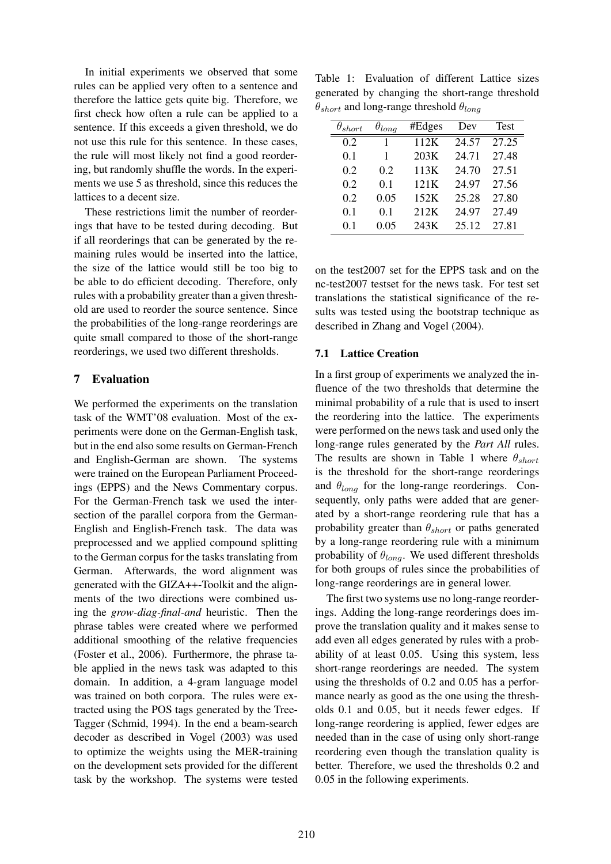In initial experiments we observed that some rules can be applied very often to a sentence and therefore the lattice gets quite big. Therefore, we first check how often a rule can be applied to a sentence. If this exceeds a given threshold, we do not use this rule for this sentence. In these cases, the rule will most likely not find a good reordering, but randomly shuffle the words. In the experiments we use 5 as threshold, since this reduces the lattices to a decent size.

These restrictions limit the number of reorderings that have to be tested during decoding. But if all reorderings that can be generated by the remaining rules would be inserted into the lattice, the size of the lattice would still be too big to be able to do efficient decoding. Therefore, only rules with a probability greater than a given threshold are used to reorder the source sentence. Since the probabilities of the long-range reorderings are quite small compared to those of the short-range reorderings, we used two different thresholds.

# 7 Evaluation

We performed the experiments on the translation task of the WMT'08 evaluation. Most of the experiments were done on the German-English task, but in the end also some results on German-French and English-German are shown. The systems were trained on the European Parliament Proceedings (EPPS) and the News Commentary corpus. For the German-French task we used the intersection of the parallel corpora from the German-English and English-French task. The data was preprocessed and we applied compound splitting to the German corpus for the tasks translating from German. Afterwards, the word alignment was generated with the GIZA++-Toolkit and the alignments of the two directions were combined using the *grow-diag-final-and* heuristic. Then the phrase tables were created where we performed additional smoothing of the relative frequencies (Foster et al., 2006). Furthermore, the phrase table applied in the news task was adapted to this domain. In addition, a 4-gram language model was trained on both corpora. The rules were extracted using the POS tags generated by the Tree-Tagger (Schmid, 1994). In the end a beam-search decoder as described in Vogel (2003) was used to optimize the weights using the MER-training on the development sets provided for the different task by the workshop. The systems were tested

Table 1: Evaluation of different Lattice sizes generated by changing the short-range threshold  $\theta_{short}$  and long-range threshold  $\theta_{long}$ 

| short | $\theta_{long}$ | #Edges | Dev   | <b>Test</b> |
|-------|-----------------|--------|-------|-------------|
| 0.2   | 1               | 112K   | 24.57 | 27.25       |
| 0.1   | 1               | 203K   | 24.71 | 27.48       |
| 0.2   | 0.2             | 113K   | 24.70 | 27.51       |
| 0.2   | 0.1             | 121K   | 24.97 | 27.56       |
| 0.2   | 0.05            | 152K   | 25.28 | 27.80       |
| 0.1   | 0.1             | 212K   | 24.97 | 27.49       |
| 01    | 0.05            | 243K   | 25.12 | 27.81       |

on the test2007 set for the EPPS task and on the nc-test2007 testset for the news task. For test set translations the statistical significance of the results was tested using the bootstrap technique as described in Zhang and Vogel (2004).

#### 7.1 Lattice Creation

In a first group of experiments we analyzed the influence of the two thresholds that determine the minimal probability of a rule that is used to insert the reordering into the lattice. The experiments were performed on the news task and used only the long-range rules generated by the *Part All* rules. The results are shown in Table 1 where  $\theta_{short}$ is the threshold for the short-range reorderings and  $\theta_{long}$  for the long-range reorderings. Consequently, only paths were added that are generated by a short-range reordering rule that has a probability greater than  $\theta_{short}$  or paths generated by a long-range reordering rule with a minimum probability of  $\theta_{long}$ . We used different thresholds for both groups of rules since the probabilities of long-range reorderings are in general lower.

The first two systems use no long-range reorderings. Adding the long-range reorderings does improve the translation quality and it makes sense to add even all edges generated by rules with a probability of at least 0.05. Using this system, less short-range reorderings are needed. The system using the thresholds of 0.2 and 0.05 has a performance nearly as good as the one using the thresholds 0.1 and 0.05, but it needs fewer edges. If long-range reordering is applied, fewer edges are needed than in the case of using only short-range reordering even though the translation quality is better. Therefore, we used the thresholds 0.2 and 0.05 in the following experiments.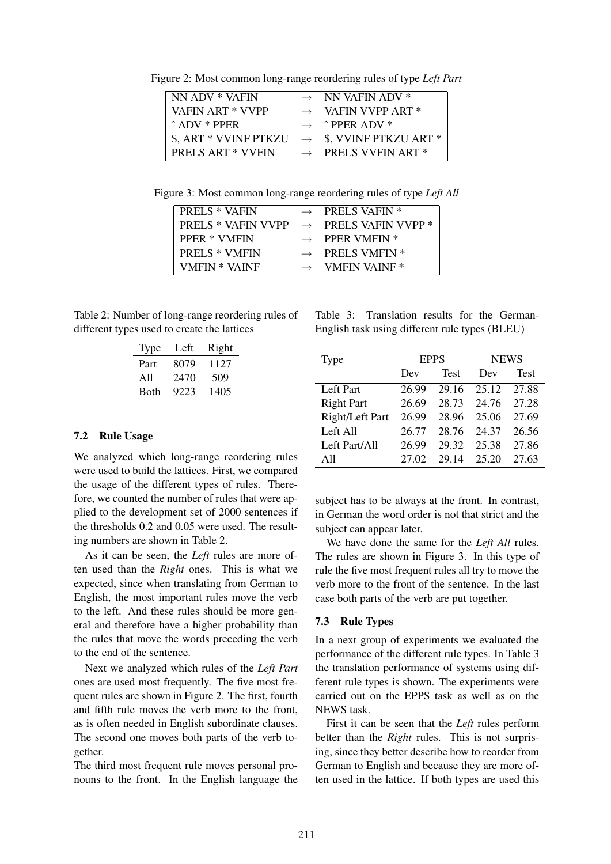Figure 2: Most common long-range reordering rules of type *Left Part*

| NN ADV * VAFIN           | $\rightarrow$ NN VAFIN ADV *             |
|--------------------------|------------------------------------------|
| VAFIN ART * VVPP         | $\rightarrow$ VAFIN VVPP ART *           |
| $\hat{ }}$ ADV $*$ PPER  | $\rightarrow$ $\rightarrow$ PPER ADV $*$ |
| \$, ART * VVINF PTKZU    | $\rightarrow$ \$, VVINF PTKZU ART *      |
| <b>PRELS ART * VVFIN</b> | $\rightarrow$ PRELS VVFIN ART *          |

Figure 3: Most common long-range reordering rules of type *Left All*

| <b>PRELS * VAFIN</b>      | $\rightarrow$ PRELS VAFIN *      |
|---------------------------|----------------------------------|
| <b>PRELS * VAFIN VVPP</b> | $\rightarrow$ PRELS VAFIN VVPP * |
| <b>PPER * VMFIN</b>       | $\rightarrow$ PPER VMFIN *       |
| <b>PRELS * VMFIN</b>      | $\rightarrow$ PRELS VMFIN *      |
| VMFIN * VAINF             | $\rightarrow$ VMFIN VAINE *      |
|                           |                                  |

Table 2: Number of long-range reordering rules of different types used to create the lattices

| Type         | Left | Right |
|--------------|------|-------|
| Part         | 8079 | 1127  |
| All          | 2470 | 509   |
| <b>B</b> oth | 9223 | 1405  |

#### 7.2 Rule Usage

We analyzed which long-range reordering rules were used to build the lattices. First, we compared the usage of the different types of rules. Therefore, we counted the number of rules that were applied to the development set of 2000 sentences if the thresholds 0.2 and 0.05 were used. The resulting numbers are shown in Table 2.

As it can be seen, the *Left* rules are more often used than the *Right* ones. This is what we expected, since when translating from German to English, the most important rules move the verb to the left. And these rules should be more general and therefore have a higher probability than the rules that move the words preceding the verb to the end of the sentence.

Next we analyzed which rules of the *Left Part* ones are used most frequently. The five most frequent rules are shown in Figure 2. The first, fourth and fifth rule moves the verb more to the front, as is often needed in English subordinate clauses. The second one moves both parts of the verb together.

The third most frequent rule moves personal pronouns to the front. In the English language the

Table 3: Translation results for the German-English task using different rule types (BLEU)

| Type              | <b>EPPS</b> |             | <b>NEWS</b> |             |
|-------------------|-------------|-------------|-------------|-------------|
|                   | Dev         | <b>Test</b> | Dev         | <b>Test</b> |
| Left Part         | 26.99       | 29.16       | 25.12       | 27.88       |
| <b>Right Part</b> | 26.69       | 28.73       | 24.76       | 27.28       |
| Right/Left Part   | 26.99       | 28.96       | 25.06       | 27.69       |
| Left All          | 26.77       | 28.76       | 24.37       | 26.56       |
| Left Part/All     | 26.99       | 29.32       | 25.38       | 27.86       |
| A11               | 27.02       | 29.14       | 25.20       | 27.63       |

subject has to be always at the front. In contrast, in German the word order is not that strict and the subject can appear later.

We have done the same for the *Left All* rules. The rules are shown in Figure 3. In this type of rule the five most frequent rules all try to move the verb more to the front of the sentence. In the last case both parts of the verb are put together.

#### 7.3 Rule Types

In a next group of experiments we evaluated the performance of the different rule types. In Table 3 the translation performance of systems using different rule types is shown. The experiments were carried out on the EPPS task as well as on the NEWS task.

First it can be seen that the *Left* rules perform better than the *Right* rules. This is not surprising, since they better describe how to reorder from German to English and because they are more often used in the lattice. If both types are used this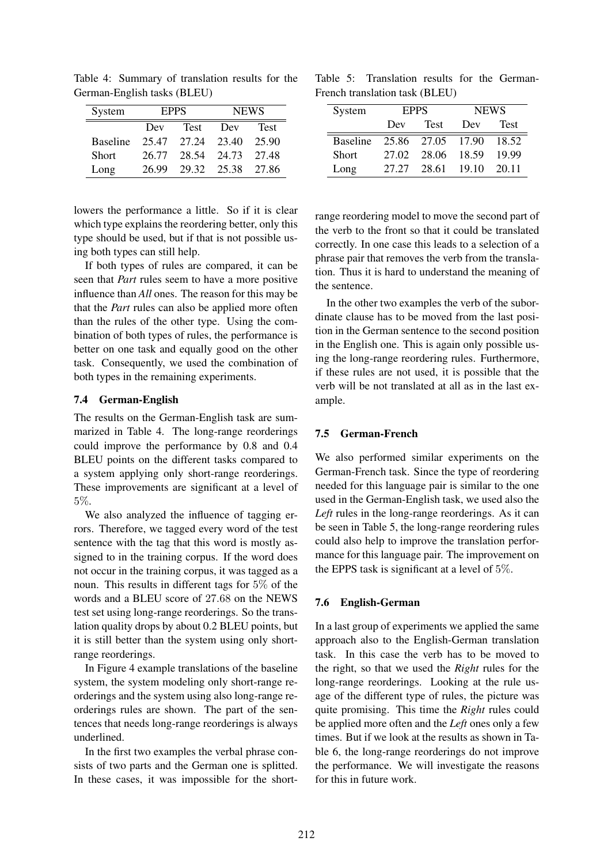| System          | <b>EPPS</b>        |             | <b>NEWS</b>       |             |
|-----------------|--------------------|-------------|-------------------|-------------|
|                 | <b>Test</b><br>Dev |             | Dev               | <b>Test</b> |
| <b>Baseline</b> | 25.47              | 27.24 23.40 |                   | 25.90       |
| <b>Short</b>    | 26.77              | 28.54       | 24.73             | 27.48       |
| Long            | 26.99              |             | 29.32 25.38 27.86 |             |

Table 4: Summary of translation results for the German-English tasks (BLEU)

lowers the performance a little. So if it is clear which type explains the reordering better, only this type should be used, but if that is not possible using both types can still help.

If both types of rules are compared, it can be seen that *Part* rules seem to have a more positive influence than *All* ones. The reason for this may be that the *Part* rules can also be applied more often than the rules of the other type. Using the combination of both types of rules, the performance is better on one task and equally good on the other task. Consequently, we used the combination of both types in the remaining experiments.

#### 7.4 German-English

The results on the German-English task are summarized in Table 4. The long-range reorderings could improve the performance by 0.8 and 0.4 BLEU points on the different tasks compared to a system applying only short-range reorderings. These improvements are significant at a level of 5%.

We also analyzed the influence of tagging errors. Therefore, we tagged every word of the test sentence with the tag that this word is mostly assigned to in the training corpus. If the word does not occur in the training corpus, it was tagged as a noun. This results in different tags for 5% of the words and a BLEU score of 27.68 on the NEWS test set using long-range reorderings. So the translation quality drops by about 0.2 BLEU points, but it is still better than the system using only shortrange reorderings.

In Figure 4 example translations of the baseline system, the system modeling only short-range reorderings and the system using also long-range reorderings rules are shown. The part of the sentences that needs long-range reorderings is always underlined.

In the first two examples the verbal phrase consists of two parts and the German one is splitted. In these cases, it was impossible for the short-

Table 5: Translation results for the German-French translation task (BLEU)

| System          |                    | <b>EPPS</b> | <b>NEWS</b> |             |
|-----------------|--------------------|-------------|-------------|-------------|
|                 | <b>Test</b><br>Dev |             | Dev         | <b>Test</b> |
| <b>Baseline</b> |                    | 25.86 27.05 | 17.90       | 18.52       |
| <b>Short</b>    | 27.02              | 28.06       | 18.59       | 19.99       |
| Long            | 27.27              | 28.61       | 19.10       | 20.11       |

range reordering model to move the second part of the verb to the front so that it could be translated correctly. In one case this leads to a selection of a phrase pair that removes the verb from the translation. Thus it is hard to understand the meaning of the sentence.

In the other two examples the verb of the subordinate clause has to be moved from the last position in the German sentence to the second position in the English one. This is again only possible using the long-range reordering rules. Furthermore, if these rules are not used, it is possible that the verb will be not translated at all as in the last example.

## 7.5 German-French

We also performed similar experiments on the German-French task. Since the type of reordering needed for this language pair is similar to the one used in the German-English task, we used also the *Left* rules in the long-range reorderings. As it can be seen in Table 5, the long-range reordering rules could also help to improve the translation performance for this language pair. The improvement on the EPPS task is significant at a level of 5%.

## 7.6 English-German

In a last group of experiments we applied the same approach also to the English-German translation task. In this case the verb has to be moved to the right, so that we used the *Right* rules for the long-range reorderings. Looking at the rule usage of the different type of rules, the picture was quite promising. This time the *Right* rules could be applied more often and the *Left* ones only a few times. But if we look at the results as shown in Table 6, the long-range reorderings do not improve the performance. We will investigate the reasons for this in future work.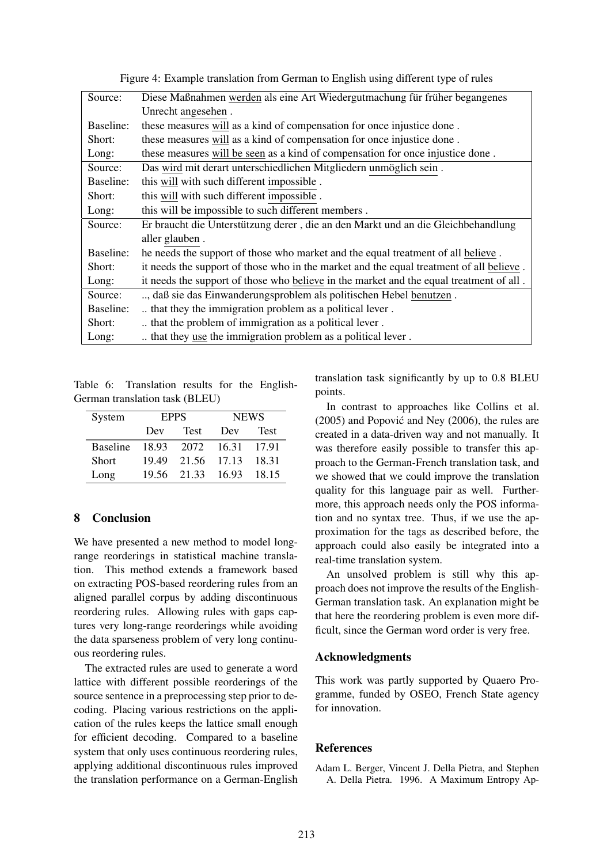| Source:   | Diese Maßnahmen werden als eine Art Wiedergutmachung für früher begangenes              |
|-----------|-----------------------------------------------------------------------------------------|
|           | Unrecht angesehen.                                                                      |
| Baseline: | these measures will as a kind of compensation for once injustice done.                  |
| Short:    | these measures will as a kind of compensation for once injustice done.                  |
| Long:     | these measures will be seen as a kind of compensation for once injustice done.          |
| Source:   | Das wird mit derart unterschiedlichen Mitgliedern unmöglich sein.                       |
| Baseline: | this will with such different impossible.                                               |
| Short:    | this will with such different impossible.                                               |
| Long:     | this will be impossible to such different members.                                      |
| Source:   | Er braucht die Unterstützung derer, die an den Markt und an die Gleichbehandlung        |
|           | aller glauben.                                                                          |
| Baseline: | he needs the support of those who market and the equal treatment of all believe.        |
| Short:    | it needs the support of those who in the market and the equal treatment of all believe. |
| Long:     | it needs the support of those who believe in the market and the equal treatment of all. |
| Source:   | , daß sie das Einwanderungsproblem als politischen Hebel benutzen.                      |
| Baseline: | that they the immigration problem as a political lever.                                 |
| Short:    | that the problem of immigration as a political lever.                                   |
| Long:     | that they use the immigration problem as a political lever.                             |

Figure 4: Example translation from German to English using different type of rules

Table 6: Translation results for the English-German translation task (BLEU)

| System          | <b>EPPS</b>        |       | <b>NEWS</b> |       |
|-----------------|--------------------|-------|-------------|-------|
|                 | <b>Test</b><br>Dev |       | Dev         | Test  |
| <b>Baseline</b> | 18.93              | 2072  | 16.31       | 17.91 |
| <b>Short</b>    | 1949               | 21.56 | 17.13       | 18.31 |
| Long            | 19.56              | 21.33 | 16.93       | 18.15 |

# 8 Conclusion

We have presented a new method to model longrange reorderings in statistical machine translation. This method extends a framework based on extracting POS-based reordering rules from an aligned parallel corpus by adding discontinuous reordering rules. Allowing rules with gaps captures very long-range reorderings while avoiding the data sparseness problem of very long continuous reordering rules.

The extracted rules are used to generate a word lattice with different possible reorderings of the source sentence in a preprocessing step prior to decoding. Placing various restrictions on the application of the rules keeps the lattice small enough for efficient decoding. Compared to a baseline system that only uses continuous reordering rules, applying additional discontinuous rules improved the translation performance on a German-English translation task significantly by up to 0.8 BLEU points.

In contrast to approaches like Collins et al.  $(2005)$  and Popović and Ney  $(2006)$ , the rules are created in a data-driven way and not manually. It was therefore easily possible to transfer this approach to the German-French translation task, and we showed that we could improve the translation quality for this language pair as well. Furthermore, this approach needs only the POS information and no syntax tree. Thus, if we use the approximation for the tags as described before, the approach could also easily be integrated into a real-time translation system.

An unsolved problem is still why this approach does not improve the results of the English-German translation task. An explanation might be that here the reordering problem is even more difficult, since the German word order is very free.

### Acknowledgments

This work was partly supported by Quaero Programme, funded by OSEO, French State agency for innovation.

#### References

Adam L. Berger, Vincent J. Della Pietra, and Stephen A. Della Pietra. 1996. A Maximum Entropy Ap